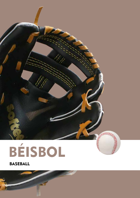

# BÉISBOL

BASEBALL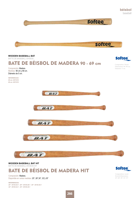



**WOODEN BASEBALL BAT HIT**  BATTE DE BASEBALL EN BOIS HIT

BATE DE BÉISBOL DE MADERA HIT

Composición: Madera. Disponible en varias medidas: 25", 28",30", 32"y 35"

*REFERENCIAS: 25": 35135.25.1 - 28": 35135.28.1 - 30": 35135.30.1 32": 35135.32.1 - 35": 35135.35.1*



Composition: wood. Several dimensions: 25", 28", 30", 32", 35".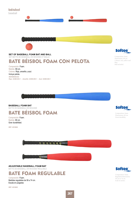



Colores: Rojo, amarillo y azul. Incluye pelota. *REFERENCIAS: Rojo: 24380.003.1 - Amarillo: 24380.005.1 - Azul: 24380.028.1* **Softee** 

Composition: foam. Dimensions: 69 cm. Colours: red, yellow and  $h|_{110}$ Ball included.

#### **BASEBALL FOAM BAT**  BATTE DE BASEBALL EN MOUSSE



Composition: foam. Dimensions: 69 cm. Great durability.

BATE BÉISBOL FOAM

Composición: Foam. Medida: 69 cm. Gran durabilidad.

*REF: 0010804*



**ADJUSTABLE BASEBALL FOAM BAT**  BATTE DE BASEBALL EN MOUSSE RÉGLABLE



Composición: Foam. Medidas regulables de 58 a 74 cm. Escala en pulgadas

*REF: 0010803*



Composition: foam. Regulated dimensions: 58 cm to 74 cm. Scale in inches.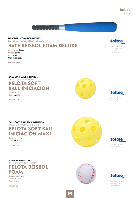Diameter: 70 mm. Colour: Yellow.

### **béisbol** baseball

**BASEBALL FOAM DELUXE BAT**

BATTE DE BASEBALL EN MOUSSE DELUXE

## BATE BÉISBOL FOAM DELUXE

Composición: Foam. Medida: 61 cm. Color: Azul. Gran durabilidad.

*REF: 25168.028.1*

**BALL SOFT BALL INITIATION** 

BALLE SOFT POUR INITIATION

PELOTA SOFT BALL INICIACIÓN Diámetro: 70 mm.

Color: Amarillo.

*REF: 24438.005.1*

**BALL SOFT BALL MAXI INITIATION**  BALLE SOFT MAXI POUR INITIATION



Diámetro: 100 mm. Color: Amarillo.

**FOAM BASEBALL BALL** BALLE DE BASEBALL EN MOUSSE

PELOTA BÉISBOL FOAM

Composición: Foam. Diámetro: 70 mm. Peso: 20 grs.

*REF: 0010805*





Colour: Yellow.

**Softee** 

Composition: foam. Diameter: 70 mm. Weight: 20 grs.







Composition: Foam. Dimensions: 61 cm. Colour: Blue. Great durability.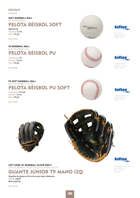#### **béisbol**

baseball

#### **SOFT BASEBALL BALL** BALLE DE BASEBALL

PELOTA BÉISBOL SOFT

Material soft. Diámetro: 72 mm. Peso: 107 grs.

*REF: 0011210*

**PU BASEBALL BALL**  BALLE DE BASEBALL PU PELOTA BÉISBOL PU

Composición: PU. Diámetro: 72 mm. Peso: 144 grs.

*REF: 0010806*



Composición: PU soft. Diámetro: 72 mm. Peso: 142 grs.

*REF: 0010807*





Soft material. Diameter: 70 mm. Weight: 107 grs.





Composition: PU. Diameter: 72 mm. Weight: 144 grs.





Composition: PU soft. Diameter: 72 mm. Weight: 142 grs.







Vinyl fil glove surface for added adhesion. Size: 9 - Junior. Left hand.

#### **LEFT HAND JR. BASEBALL GLOVE SIZE 9** GANT DE BASEBALL JUNIOR TAILLE 9 POUR MAIN GAUCHE

## GUANTE JUNIOR T9 MANO IZQ.

Superficie del guante en film vinílico para mayor adherencia. Talla: 9 - Infantil. Mano izquierda.

*REF: 0011238*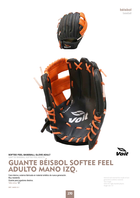

#### **SOFTEE FEEL BASEBALL GLOVE ADULT**

GANT DE BASEBALL SOFTEE FEEL ADULTE

## **GUANTE BÉISBOL SOFTEE FEEL<br>ADULTO MANO IZO.** MANO IZQ.

Cara interna y externa fabricada en material sintético de nueva generación. Muy resistente. Guante para jugadores diestros. Talla única: 12".

*REF: 24455.12.1*

Internal and external face made of new generation synthetic material. Very tough. Glove for right-handed players. Single size: 12".

'oit